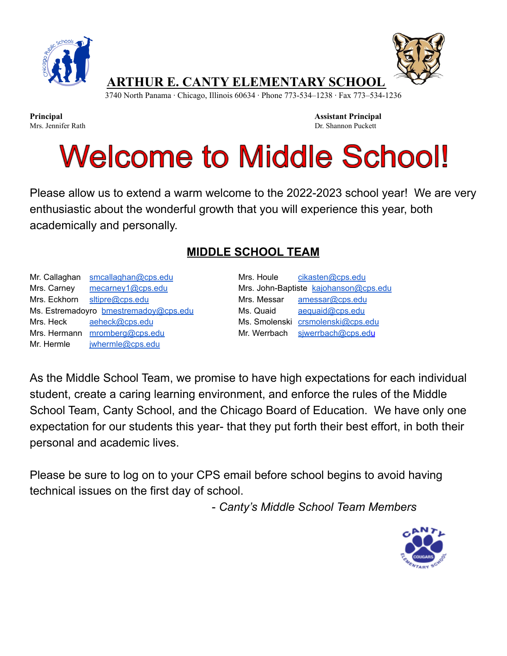



**Principal Assistant Principal** Mrs. Jennifer Rath Dr. Shannon Puckett

## **Welcome to Middle School!**

Please allow us to extend a warm welcome to the 2022-2023 school year! We are very enthusiastic about the wonderful growth that you will experience this year, both academically and personally.

## **MIDDLE SCHOOL TEAM**

Mr. Callaghan [smcallaghan@cps.edu](mailto:smcallaghan@cps.edu) Mrs. Houle [cikasten@cps.edu](mailto:cikasten@cps.edu) Mrs. Carney [mecarney1@cps.edu](mailto:mecarney1@cps.edu) Mrs. John-Baptiste [kajohanson@cps.edu](mailto:kajohanson@cps.edu) Mrs. Eckhorn [sltipre@cps.edu](mailto:sltipre@cps.edu) Mrs. Messar [amessar@cps.edu](mailto:amessar@cps.edu) Ms. Estremadoyro [bmestremadoy@cps.edu](mailto:bmestremadoy@cps.edu) Ms. Quaid [aequaid@cps.edu](mailto:aequaid@cps.edu) Mrs. Heck [aeheck@cps.edu](mailto:aeheck@cps.edu) Ms. Smolenski [crsmolenski@cps.edu](mailto:crsmolenski@cps.edu) Mrs. Hermann [mromberg@cps.edu](mailto:mromberg@cps.edu) Mr. Werrbach siwerrbach@cps.edu Mr. Hermle iwhermle@cps.edu

As the Middle School Team, we promise to have high expectations for each individual student, create a caring learning environment, and enforce the rules of the Middle School Team, Canty School, and the Chicago Board of Education. We have only one expectation for our students this year- that they put forth their best effort, in both their personal and academic lives.

Please be sure to log on to your CPS email before school begins to avoid having technical issues on the first day of school.

- *Canty's Middle School Team Members*